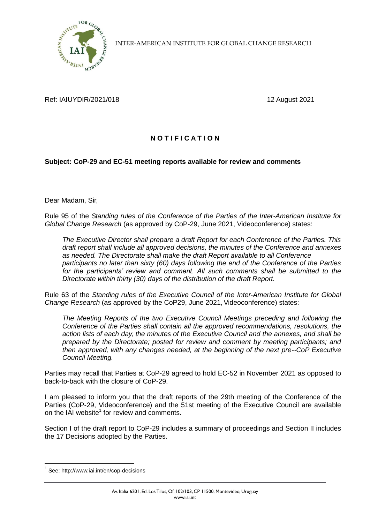

INTER-AMERICAN INSTITUTE FOR GLOBAL CHANGE RESEARCH

Ref: IAIUYDIR/2021/018 12 August 2021

## **N O T I F I C A T I O N**

## **Subject: CoP-29 and EC-51 meeting reports available for review and comments**

Dear Madam, Sir,

Rule 95 of the *Standing rules of the Conference of the Parties of the Inter-American Institute for Global Change Research* (as approved by CoP-29, June 2021, Videoconference) states:

*The Executive Director shall prepare a draft Report for each Conference of the Parties. This draft report shall include all approved decisions, the minutes of the Conference and annexes as needed. The Directorate shall make the draft Report available to all Conference participants no later than sixty (60) days following the end of the Conference of the Parties for the participants' review and comment. All such comments shall be submitted to the Directorate within thirty (30) days of the distribution of the draft Report.*

Rule 63 of the *Standing rules of the Executive Council of the Inter-American Institute for Global Change Research* (as approved by the CoP29, June 2021, Videoconference) states:

*The Meeting Reports of the two Executive Council Meetings preceding and following the Conference of the Parties shall contain all the approved recommendations, resolutions, the action lists of each day, the minutes of the Executive Council and the annexes, and shall be prepared by the Directorate; posted for review and comment by meeting participants; and then approved, with any changes needed, at the beginning of the next pre-*‐*CoP Executive Council Meeting.*

Parties may recall that Parties at CoP-29 agreed to hold EC-52 in November 2021 as opposed to back-to-back with the closure of CoP-29.

I am pleased to inform you that the draft reports of the 29th meeting of the Conference of the Parties (CoP-29, Videoconference) and the 51st meeting of the Executive Council are available on the IAI website<sup>1</sup> for review and comments.

Section I of the draft report to CoP-29 includes a summary of proceedings and Section II includes the 17 Decisions adopted by the Parties.

1

<sup>&</sup>lt;sup>1</sup> See: http://www.iai.int/en/cop-decisions